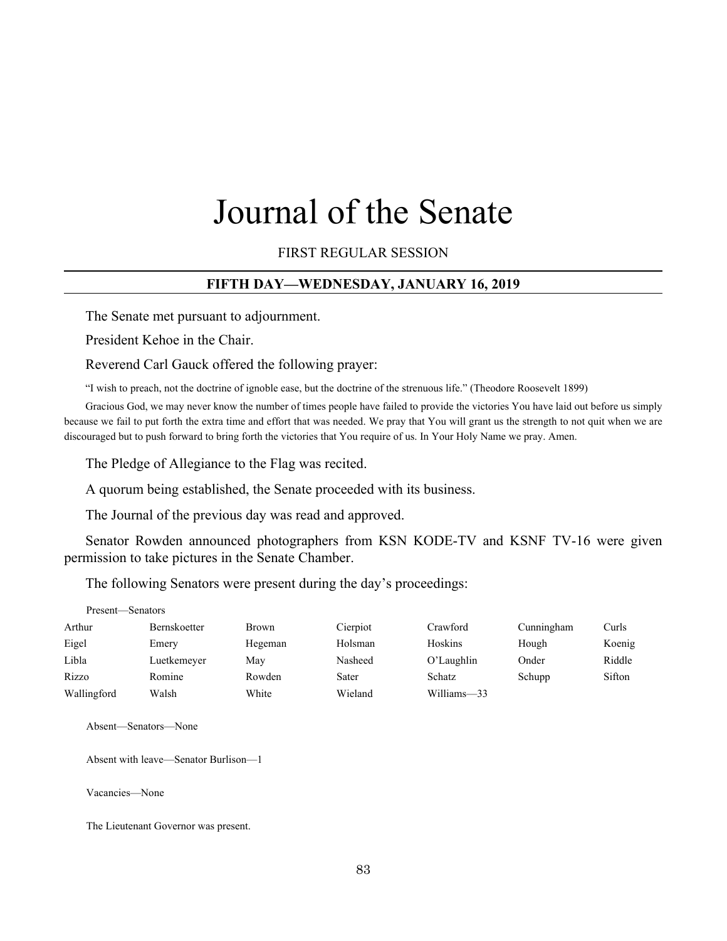# Journal of the Senate

FIRST REGULAR SESSION

## **FIFTH DAY—WEDNESDAY, JANUARY 16, 2019**

The Senate met pursuant to adjournment.

President Kehoe in the Chair.

Reverend Carl Gauck offered the following prayer:

"I wish to preach, not the doctrine of ignoble ease, but the doctrine of the strenuous life." (Theodore Roosevelt 1899)

Gracious God, we may never know the number of times people have failed to provide the victories You have laid out before us simply because we fail to put forth the extra time and effort that was needed. We pray that You will grant us the strength to not quit when we are discouraged but to push forward to bring forth the victories that You require of us. In Your Holy Name we pray. Amen.

The Pledge of Allegiance to the Flag was recited.

A quorum being established, the Senate proceeded with its business.

The Journal of the previous day was read and approved.

Senator Rowden announced photographers from KSN KODE-TV and KSNF TV-16 were given permission to take pictures in the Senate Chamber.

The following Senators were present during the day's proceedings:

| Present—Senators |              |         |          |             |            |        |
|------------------|--------------|---------|----------|-------------|------------|--------|
| Arthur           | Bernskoetter | Brown   | Cierpiot | Crawford    | Cunningham | Curls  |
| Eigel            | Emery        | Hegeman | Holsman  | Hoskins     | Hough      | Koenig |
| Libla            | Luetkemeyer  | May     | Nasheed  | O'Laughlin  | Onder      | Riddle |
| Rizzo            | Romine       | Rowden  | Sater    | Schatz      | Schupp     | Sifton |
| Wallingford      | Walsh        | White   | Wieland  | Williams-33 |            |        |

Absent—Senators—None

Absent with leave—Senator Burlison—1

Vacancies—None

The Lieutenant Governor was present.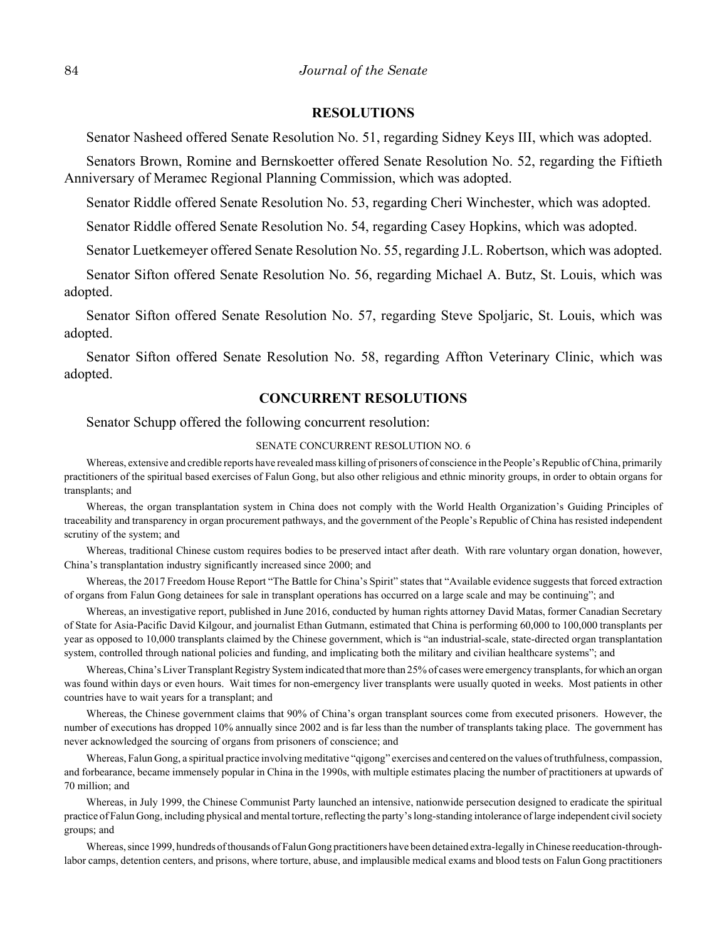#### **RESOLUTIONS**

Senator Nasheed offered Senate Resolution No. 51, regarding Sidney Keys III, which was adopted.

Senators Brown, Romine and Bernskoetter offered Senate Resolution No. 52, regarding the Fiftieth Anniversary of Meramec Regional Planning Commission, which was adopted.

Senator Riddle offered Senate Resolution No. 53, regarding Cheri Winchester, which was adopted.

Senator Riddle offered Senate Resolution No. 54, regarding Casey Hopkins, which was adopted.

Senator Luetkemeyer offered Senate Resolution No. 55, regarding J.L. Robertson, which was adopted.

Senator Sifton offered Senate Resolution No. 56, regarding Michael A. Butz, St. Louis, which was adopted.

Senator Sifton offered Senate Resolution No. 57, regarding Steve Spoljaric, St. Louis, which was adopted.

Senator Sifton offered Senate Resolution No. 58, regarding Affton Veterinary Clinic, which was adopted.

#### **CONCURRENT RESOLUTIONS**

Senator Schupp offered the following concurrent resolution:

#### SENATE CONCURRENT RESOLUTION NO. 6

Whereas, extensive and credible reports have revealed mass killing of prisoners of conscience in the People's Republic of China, primarily practitioners of the spiritual based exercises of Falun Gong, but also other religious and ethnic minority groups, in order to obtain organs for transplants; and

Whereas, the organ transplantation system in China does not comply with the World Health Organization's Guiding Principles of traceability and transparency in organ procurement pathways, and the government of the People's Republic of China has resisted independent scrutiny of the system; and

Whereas, traditional Chinese custom requires bodies to be preserved intact after death. With rare voluntary organ donation, however, China's transplantation industry significantly increased since 2000; and

Whereas, the 2017 Freedom House Report "The Battle for China's Spirit" states that "Available evidence suggests that forced extraction of organs from Falun Gong detainees for sale in transplant operations has occurred on a large scale and may be continuing"; and

Whereas, an investigative report, published in June 2016, conducted by human rights attorney David Matas, former Canadian Secretary of State for Asia-Pacific David Kilgour, and journalist Ethan Gutmann, estimated that China is performing 60,000 to 100,000 transplants per year as opposed to 10,000 transplants claimed by the Chinese government, which is "an industrial-scale, state-directed organ transplantation system, controlled through national policies and funding, and implicating both the military and civilian healthcare systems"; and

Whereas, China's Liver Transplant Registry System indicated that more than 25% of cases were emergency transplants, for which an organ was found within days or even hours. Wait times for non-emergency liver transplants were usually quoted in weeks. Most patients in other countries have to wait years for a transplant; and

Whereas, the Chinese government claims that 90% of China's organ transplant sources come from executed prisoners. However, the number of executions has dropped 10% annually since 2002 and is far less than the number of transplants taking place. The government has never acknowledged the sourcing of organs from prisoners of conscience; and

Whereas, Falun Gong, a spiritual practice involving meditative "qigong" exercises and centered on the values of truthfulness, compassion, and forbearance, became immensely popular in China in the 1990s, with multiple estimates placing the number of practitioners at upwards of 70 million; and

Whereas, in July 1999, the Chinese Communist Party launched an intensive, nationwide persecution designed to eradicate the spiritual practice of Falun Gong, including physical and mental torture, reflecting the party's long-standing intolerance of large independent civil society groups; and

Whereas, since 1999, hundreds of thousands of Falun Gong practitioners have been detained extra-legally in Chinese reeducation-throughlabor camps, detention centers, and prisons, where torture, abuse, and implausible medical exams and blood tests on Falun Gong practitioners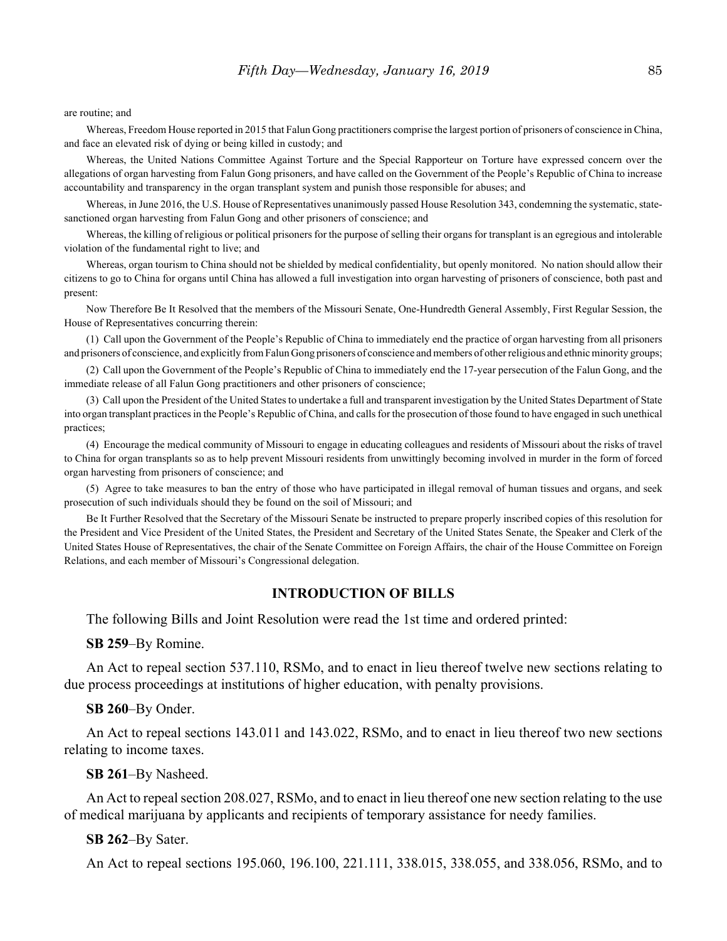are routine; and

Whereas, Freedom House reported in 2015 that Falun Gong practitioners comprise the largest portion of prisoners of conscience in China, and face an elevated risk of dying or being killed in custody; and

Whereas, the United Nations Committee Against Torture and the Special Rapporteur on Torture have expressed concern over the allegations of organ harvesting from Falun Gong prisoners, and have called on the Government of the People's Republic of China to increase accountability and transparency in the organ transplant system and punish those responsible for abuses; and

Whereas, in June 2016, the U.S. House of Representatives unanimously passed House Resolution 343, condemning the systematic, statesanctioned organ harvesting from Falun Gong and other prisoners of conscience; and

Whereas, the killing of religious or political prisoners for the purpose of selling their organs for transplant is an egregious and intolerable violation of the fundamental right to live; and

Whereas, organ tourism to China should not be shielded by medical confidentiality, but openly monitored. No nation should allow their citizens to go to China for organs until China has allowed a full investigation into organ harvesting of prisoners of conscience, both past and present:

Now Therefore Be It Resolved that the members of the Missouri Senate, One-Hundredth General Assembly, First Regular Session, the House of Representatives concurring therein:

(1) Call upon the Government of the People's Republic of China to immediately end the practice of organ harvesting from all prisoners and prisoners of conscience, and explicitly from Falun Gong prisoners of conscience and members of other religious and ethnic minority groups;

(2) Call upon the Government of the People's Republic of China to immediately end the 17-year persecution of the Falun Gong, and the immediate release of all Falun Gong practitioners and other prisoners of conscience;

(3) Call upon the President of the United States to undertake a full and transparent investigation by the United States Department of State into organ transplant practices in the People's Republic of China, and calls for the prosecution of those found to have engaged in such unethical practices;

(4) Encourage the medical community of Missouri to engage in educating colleagues and residents of Missouri about the risks of travel to China for organ transplants so as to help prevent Missouri residents from unwittingly becoming involved in murder in the form of forced organ harvesting from prisoners of conscience; and

(5) Agree to take measures to ban the entry of those who have participated in illegal removal of human tissues and organs, and seek prosecution of such individuals should they be found on the soil of Missouri; and

Be It Further Resolved that the Secretary of the Missouri Senate be instructed to prepare properly inscribed copies of this resolution for the President and Vice President of the United States, the President and Secretary of the United States Senate, the Speaker and Clerk of the United States House of Representatives, the chair of the Senate Committee on Foreign Affairs, the chair of the House Committee on Foreign Relations, and each member of Missouri's Congressional delegation.

#### **INTRODUCTION OF BILLS**

The following Bills and Joint Resolution were read the 1st time and ordered printed:

**SB 259**–By Romine.

An Act to repeal section 537.110, RSMo, and to enact in lieu thereof twelve new sections relating to due process proceedings at institutions of higher education, with penalty provisions.

**SB 260**–By Onder.

An Act to repeal sections 143.011 and 143.022, RSMo, and to enact in lieu thereof two new sections relating to income taxes.

**SB 261**–By Nasheed.

An Act to repeal section 208.027, RSMo, and to enact in lieu thereof one new section relating to the use of medical marijuana by applicants and recipients of temporary assistance for needy families.

#### **SB 262**–By Sater.

An Act to repeal sections 195.060, 196.100, 221.111, 338.015, 338.055, and 338.056, RSMo, and to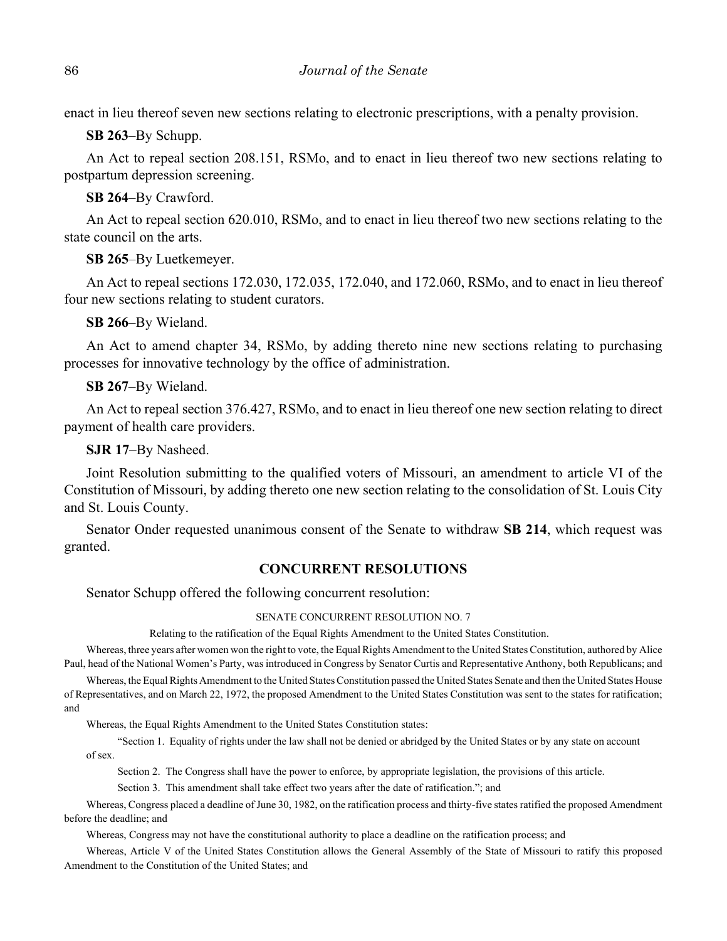enact in lieu thereof seven new sections relating to electronic prescriptions, with a penalty provision.

**SB 263**–By Schupp.

An Act to repeal section 208.151, RSMo, and to enact in lieu thereof two new sections relating to postpartum depression screening.

**SB 264**–By Crawford.

An Act to repeal section 620.010, RSMo, and to enact in lieu thereof two new sections relating to the state council on the arts.

**SB 265**–By Luetkemeyer.

An Act to repeal sections 172.030, 172.035, 172.040, and 172.060, RSMo, and to enact in lieu thereof four new sections relating to student curators.

**SB 266**–By Wieland.

An Act to amend chapter 34, RSMo, by adding thereto nine new sections relating to purchasing processes for innovative technology by the office of administration.

**SB 267**–By Wieland.

An Act to repeal section 376.427, RSMo, and to enact in lieu thereof one new section relating to direct payment of health care providers.

**SJR 17**–By Nasheed.

Joint Resolution submitting to the qualified voters of Missouri, an amendment to article VI of the Constitution of Missouri, by adding thereto one new section relating to the consolidation of St. Louis City and St. Louis County.

Senator Onder requested unanimous consent of the Senate to withdraw **SB 214**, which request was granted.

# **CONCURRENT RESOLUTIONS**

Senator Schupp offered the following concurrent resolution:

#### SENATE CONCURRENT RESOLUTION NO. 7

Relating to the ratification of the Equal Rights Amendment to the United States Constitution.

Whereas, three years after women won the right to vote, the Equal Rights Amendment to the United States Constitution, authored by Alice Paul, head of the National Women's Party, was introduced in Congress by Senator Curtis and Representative Anthony, both Republicans; and

Whereas, the Equal Rights Amendment to the United States Constitution passed the United States Senate and then the United States House of Representatives, and on March 22, 1972, the proposed Amendment to the United States Constitution was sent to the states for ratification; and

Whereas, the Equal Rights Amendment to the United States Constitution states:

"Section 1. Equality of rights under the law shall not be denied or abridged by the United States or by any state on account of sex.

Section 2. The Congress shall have the power to enforce, by appropriate legislation, the provisions of this article.

Section 3. This amendment shall take effect two years after the date of ratification."; and

Whereas, Congress placed a deadline of June 30, 1982, on the ratification process and thirty-five states ratified the proposed Amendment before the deadline; and

Whereas, Congress may not have the constitutional authority to place a deadline on the ratification process; and

Whereas, Article V of the United States Constitution allows the General Assembly of the State of Missouri to ratify this proposed Amendment to the Constitution of the United States; and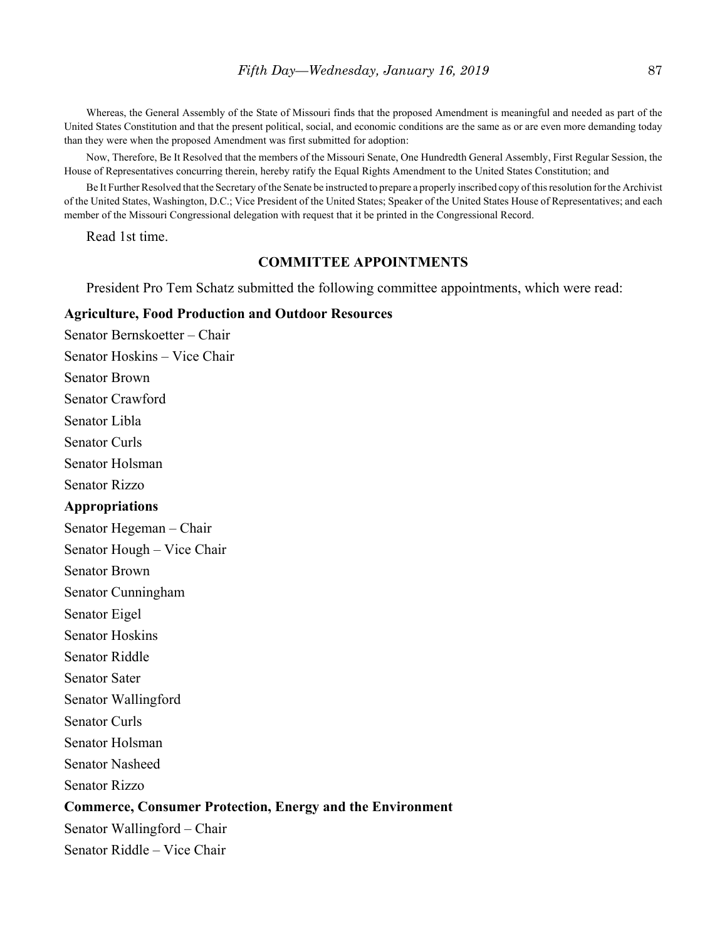Whereas, the General Assembly of the State of Missouri finds that the proposed Amendment is meaningful and needed as part of the United States Constitution and that the present political, social, and economic conditions are the same as or are even more demanding today than they were when the proposed Amendment was first submitted for adoption:

Now, Therefore, Be It Resolved that the members of the Missouri Senate, One Hundredth General Assembly, First Regular Session, the House of Representatives concurring therein, hereby ratify the Equal Rights Amendment to the United States Constitution; and

Be It Further Resolved that the Secretary of the Senate be instructed to prepare a properly inscribed copy of this resolution for the Archivist of the United States, Washington, D.C.; Vice President of the United States; Speaker of the United States House of Representatives; and each member of the Missouri Congressional delegation with request that it be printed in the Congressional Record.

Read 1st time.

## **COMMITTEE APPOINTMENTS**

President Pro Tem Schatz submitted the following committee appointments, which were read:

#### **Agriculture, Food Production and Outdoor Resources**

Senator Bernskoetter – Chair Senator Hoskins – Vice Chair Senator Brown Senator Crawford Senator Libla Senator Curls Senator Holsman Senator Rizzo **Appropriations** Senator Hegeman – Chair Senator Hough – Vice Chair Senator Brown Senator Cunningham Senator Eigel Senator Hoskins Senator Riddle Senator Sater Senator Wallingford Senator Curls Senator Holsman Senator Nasheed Senator Rizzo **Commerce, Consumer Protection, Energy and the Environment** Senator Wallingford – Chair Senator Riddle – Vice Chair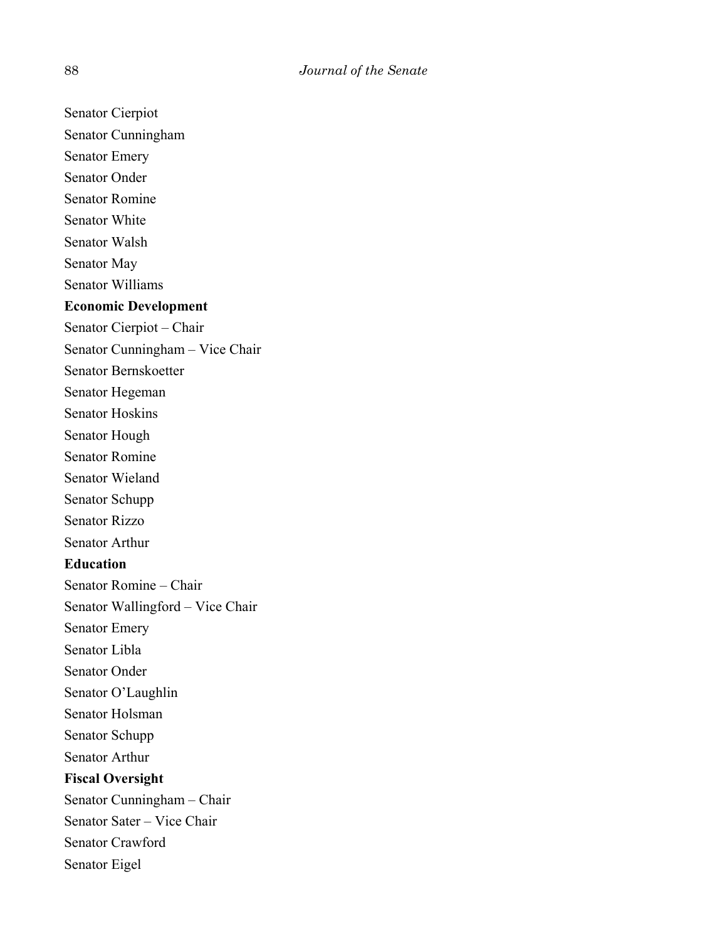Senator Cierpiot Senator Cunningham Senator Emery Senator Onder Senator Romine Senator White Senator Walsh Senator May Senator Williams **Economic Development** Senator Cierpiot – Chair Senator Cunningham – Vice Chair Senator Bernskoetter Senator Hegeman Senator Hoskins Senator Hough Senator Romine Senator Wieland Senator Schupp Senator Rizzo Senator Arthur **Education** Senator Romine – Chair Senator Wallingford – Vice Chair Senator Emery Senator Libla Senator Onder Senator O'Laughlin Senator Holsman Senator Schupp Senator Arthur **Fiscal Oversight** Senator Cunningham – Chair Senator Sater – Vice Chair Senator Crawford Senator Eigel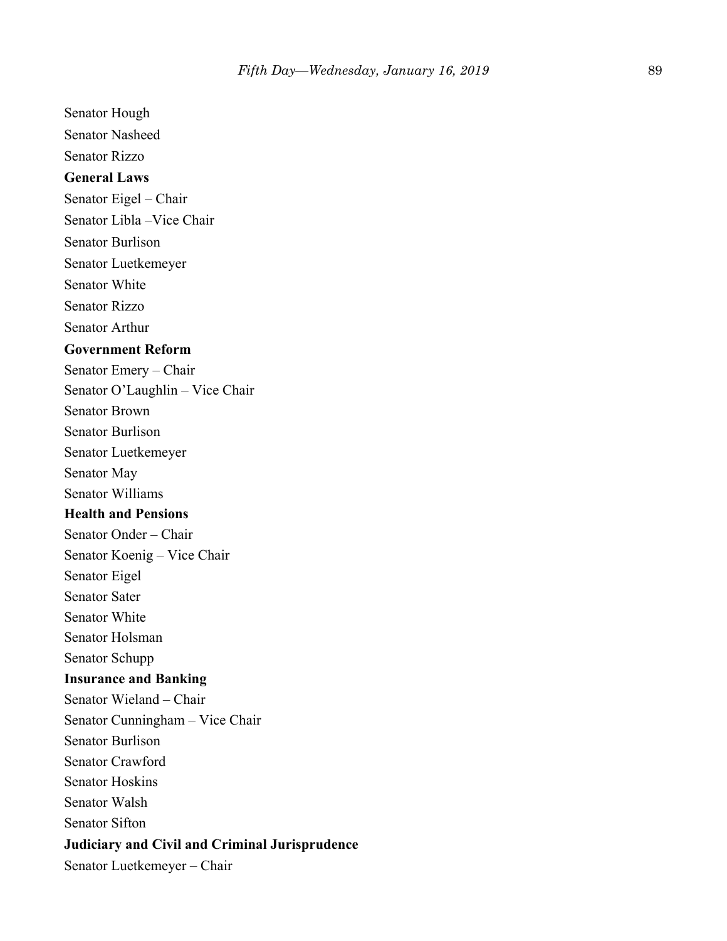Senator Hough Senator Nasheed Senator Rizzo **General Laws** Senator Eigel – Chair Senator Libla –Vice Chair Senator Burlison Senator Luetkemeyer Senator White Senator Rizzo Senator Arthur **Government Reform** Senator Emery – Chair Senator O'Laughlin – Vice Chair Senator Brown Senator Burlison Senator Luetkemeyer Senator May Senator Williams **Health and Pensions** Senator Onder – Chair Senator Koenig – Vice Chair Senator Eigel Senator Sater Senator White Senator Holsman Senator Schupp **Insurance and Banking** Senator Wieland – Chair Senator Cunningham – Vice Chair Senator Burlison Senator Crawford Senator Hoskins Senator Walsh Senator Sifton **Judiciary and Civil and Criminal Jurisprudence**

Senator Luetkemeyer – Chair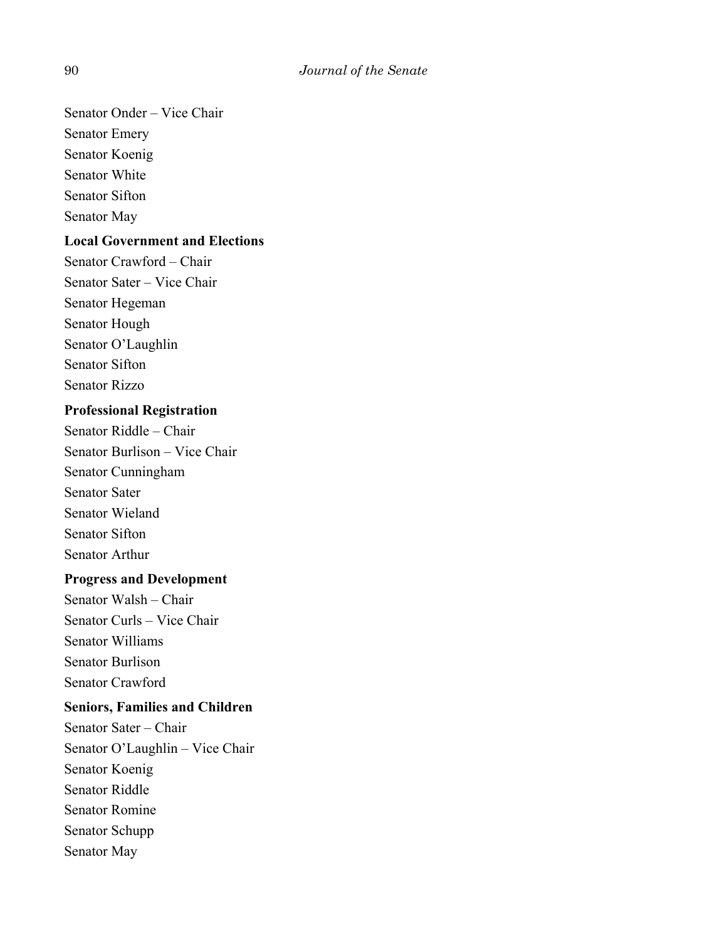Senator Onder – Vice Chair Senator Emery Senator Koenig Senator White Senator Sifton

Senator May

# **Local Government and Elections**

Senator Crawford – Chair Senator Sater – Vice Chair Senator Hegeman Senator Hough Senator O'Laughlin Senator Sifton Senator Rizzo

# **Professional Registration**

Senator Riddle – Chair Senator Burlison – Vice Chair Senator Cunningham Senator Sater Senator Wieland Senator Sifton Senator Arthur

# **Progress and Development**

Senator Walsh – Chair Senator Curls – Vice Chair Senator Williams Senator Burlison Senator Crawford

# **Seniors, Families and Children**

Senator Sater – Chair Senator O'Laughlin – Vice Chair Senator Koenig Senator Riddle Senator Romine Senator Schupp Senator May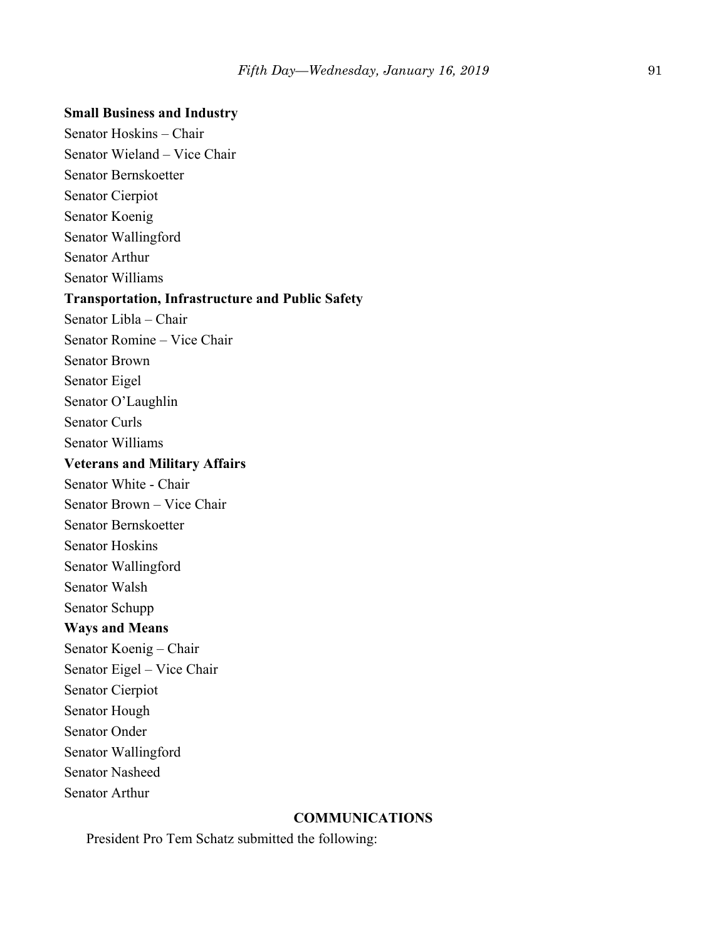#### **Small Business and Industry**

Senator Hoskins – Chair Senator Wieland – Vice Chair Senator Bernskoetter Senator Cierpiot Senator Koenig Senator Wallingford Senator Arthur Senator Williams **Transportation, Infrastructure and Public Safety** Senator Libla – Chair Senator Romine – Vice Chair Senator Brown Senator Eigel Senator O'Laughlin Senator Curls Senator Williams **Veterans and Military Affairs** Senator White - Chair Senator Brown – Vice Chair Senator Bernskoetter Senator Hoskins Senator Wallingford Senator Walsh Senator Schupp **Ways and Means** Senator Koenig – Chair Senator Eigel – Vice Chair Senator Cierpiot Senator Hough Senator Onder Senator Wallingford Senator Nasheed Senator Arthur

# **COMMUNICATIONS**

President Pro Tem Schatz submitted the following: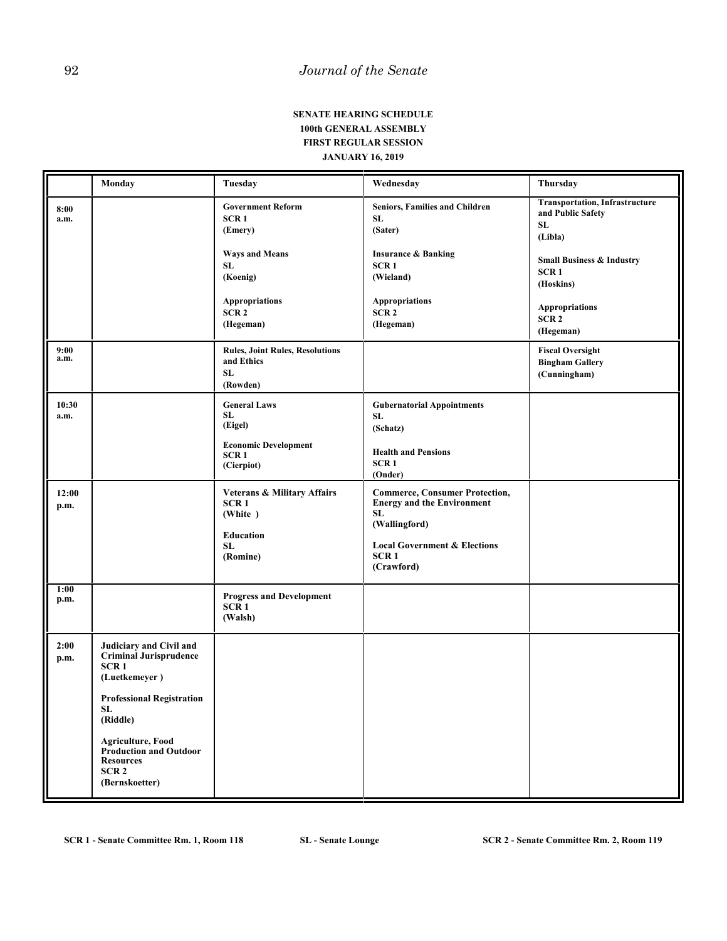#### **SENATE HEARING SCHEDULE 100th GENERAL ASSEMBLY FIRST REGULAR SESSION JANUARY 16, 2019**

|               | Monday                                                                                                                                                                                                                                                        | Tuesday                                                                                                                                                      | Wednesday                                                                                                                                                                      | Thursday                                                                                                                                                                                                |
|---------------|---------------------------------------------------------------------------------------------------------------------------------------------------------------------------------------------------------------------------------------------------------------|--------------------------------------------------------------------------------------------------------------------------------------------------------------|--------------------------------------------------------------------------------------------------------------------------------------------------------------------------------|---------------------------------------------------------------------------------------------------------------------------------------------------------------------------------------------------------|
| 8:00<br>a.m.  |                                                                                                                                                                                                                                                               | <b>Government Reform</b><br>SCR <sub>1</sub><br>(Emery)<br><b>Ways and Means</b><br>SL<br>(Koenig)<br><b>Appropriations</b><br>SCR <sub>2</sub><br>(Hegeman) | Seniors, Families and Children<br>SL<br>(Sater)<br><b>Insurance &amp; Banking</b><br>SCR <sub>1</sub><br>(Wieland)<br><b>Appropriations</b><br>SCR <sub>2</sub><br>(Hegeman)   | <b>Transportation, Infrastructure</b><br>and Public Safety<br>SL<br>(Libla)<br><b>Small Business &amp; Industry</b><br>SCR <sub>1</sub><br>(Hoskins)<br>Appropriations<br>SCR <sub>2</sub><br>(Hegeman) |
| 9:00<br>a.m.  |                                                                                                                                                                                                                                                               | <b>Rules, Joint Rules, Resolutions</b><br>and Ethics<br>SL<br>(Rowden)                                                                                       |                                                                                                                                                                                | <b>Fiscal Oversight</b><br><b>Bingham Gallery</b><br>(Cunningham)                                                                                                                                       |
| 10:30<br>a.m. |                                                                                                                                                                                                                                                               | <b>General Laws</b><br>SL<br>(Eigel)<br><b>Economic Development</b><br>SCR <sub>1</sub><br>(Cierpiot)                                                        | <b>Gubernatorial Appointments</b><br><b>SL</b><br>(Schatz)<br><b>Health and Pensions</b><br>SCR <sub>1</sub><br>(Onder)                                                        |                                                                                                                                                                                                         |
| 12:00<br>p.m. |                                                                                                                                                                                                                                                               | <b>Veterans &amp; Military Affairs</b><br>SCR <sub>1</sub><br>(White)<br><b>Education</b><br><b>SL</b><br>(Romine)                                           | <b>Commerce, Consumer Protection,</b><br><b>Energy and the Environment</b><br>SL<br>(Wallingford)<br><b>Local Government &amp; Elections</b><br>SCR <sub>1</sub><br>(Crawford) |                                                                                                                                                                                                         |
| 1:00<br>p.m.  |                                                                                                                                                                                                                                                               | <b>Progress and Development</b><br>SCR <sub>1</sub><br>(Walsh)                                                                                               |                                                                                                                                                                                |                                                                                                                                                                                                         |
| 2:00<br>p.m.  | Judiciary and Civil and<br>Criminal Jurisprudence<br>SCR <sub>1</sub><br>(Luetkemeyer)<br><b>Professional Registration</b><br>SL.<br>(Riddle)<br><b>Agriculture, Food</b><br>Production and Outdoor<br><b>Resources</b><br>SCR <sub>2</sub><br>(Bernskoetter) |                                                                                                                                                              |                                                                                                                                                                                |                                                                                                                                                                                                         |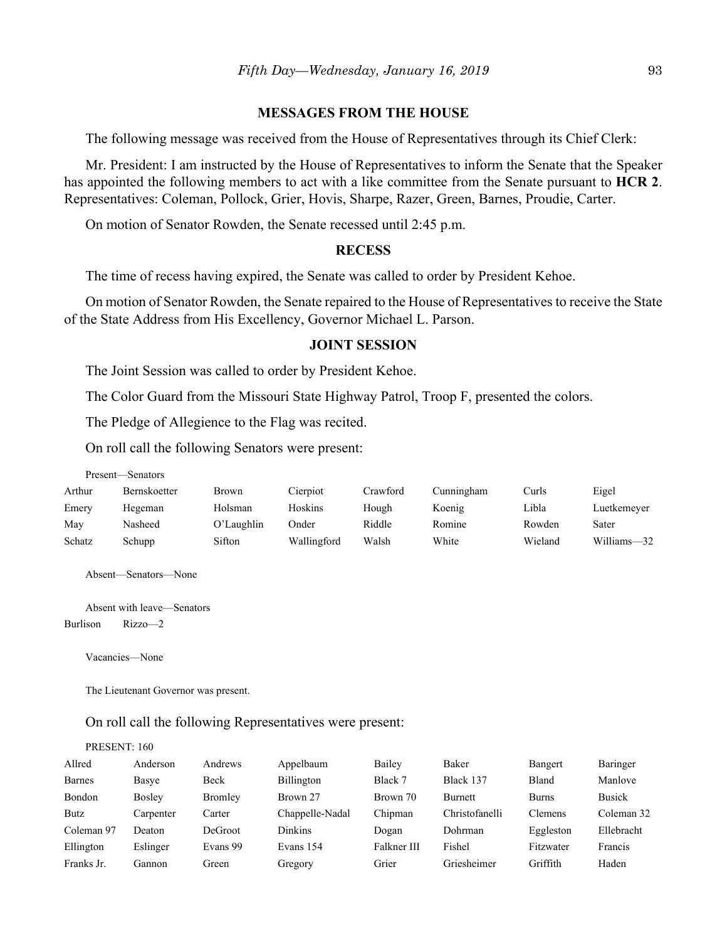#### **MESSAGES FROM THE HOUSE**

The following message was received from the House of Representatives through its Chief Clerk:

Mr. President: I am instructed by the House of Representatives to inform the Senate that the Speaker has appointed the following members to act with a like committee from the Senate pursuant to **HCR 2**. Representatives: Coleman, Pollock, Grier, Hovis, Sharpe, Razer, Green, Barnes, Proudie, Carter.

On motion of Senator Rowden, the Senate recessed until 2:45 p.m.

#### **RECESS**

The time of recess having expired, the Senate was called to order by President Kehoe.

On motion of Senator Rowden, the Senate repaired to the House of Representatives to receive the State of the State Address from His Excellency, Governor Michael L. Parson.

#### **JOINT SESSION**

The Joint Session was called to order by President Kehoe.

The Color Guard from the Missouri State Highway Patrol, Troop F, presented the colors.

The Pledge of Allegience to the Flag was recited.

On roll call the following Senators were present:

Present—Senators

| Arthur | Bernskoetter | Brown      | Cierpiot    | Crawford | Cunningham | Curls   | Eigel       |
|--------|--------------|------------|-------------|----------|------------|---------|-------------|
| Emery  | Hegeman      | Holsman    | Hoskins     | Hough    | Koenig     | ∟ibla   | Luetkemeyer |
| May    | Nasheed      | O'Laughlin | Onder       | Riddle   | Romine     | Rowden  | Sater       |
| Schatz | Schupp       | Sifton     | Wallingford | Walsh    | White      | Wieland | Williams-32 |

Absent—Senators—None

Absent with leave—Senators Burlison Rizzo—2

Vacancies—None

PRESENT: 160

The Lieutenant Governor was present.

On roll call the following Representatives were present:

| Allred        | Anderson      | Andrews  | Appelbaum       | Bailey      | Baker          | Bangert      | Baringer      |
|---------------|---------------|----------|-----------------|-------------|----------------|--------------|---------------|
| <b>Barnes</b> | Basye         | Beck     | Billington      | Black 7     | Black 137      | Bland        | Manlove       |
| Bondon        | <b>Bosley</b> | Bromley  | Brown 27        | Brown 70    | Burnett        | <b>Burns</b> | <b>Busick</b> |
| <b>Butz</b>   | Carpenter     | Carter   | Chappelle-Nadal | Chipman     | Christofanelli | Clemens      | Coleman 32    |
| Coleman 97    | Deaton        | DeGroot  | <b>Dinkins</b>  | Dogan       | Dohrman        | Eggleston    | Ellebracht    |
| Ellington     | Eslinger      | Evans 99 | Evans 154       | Falkner III | Fishel         | Fitzwater    | Francis       |
| Franks Jr.    | Gannon        | Green    | Gregory         | Grier       | Griesheimer    | Griffith     | Haden         |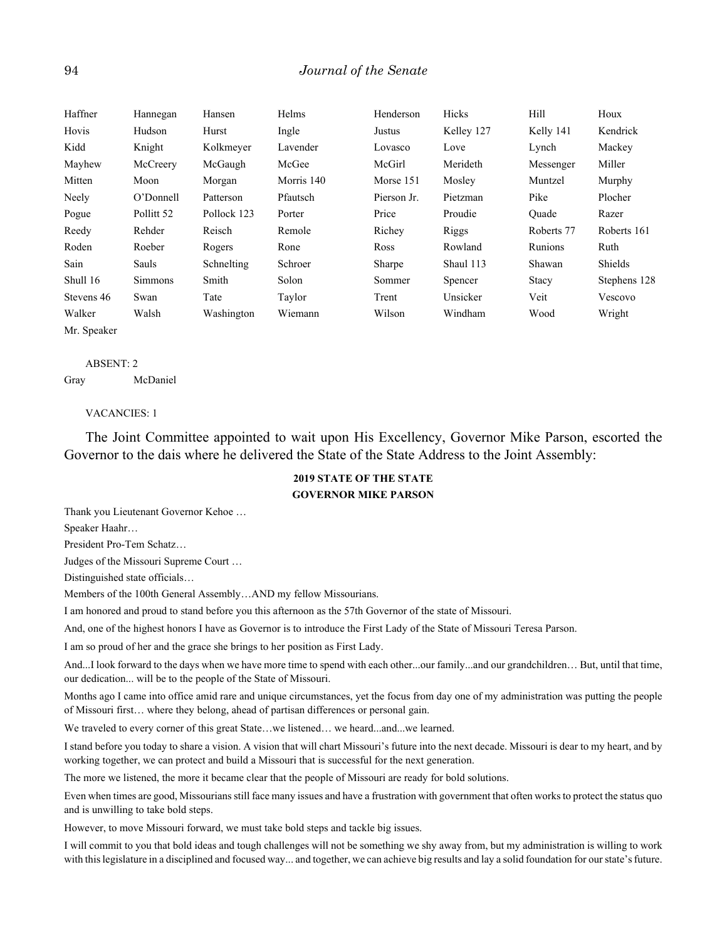| Haffner     | Hannegan   | Hansen      | Helms      | Henderson   | Hicks      | Hill       | Houx         |
|-------------|------------|-------------|------------|-------------|------------|------------|--------------|
| Hovis       | Hudson     | Hurst       | Ingle      | Justus      | Kelley 127 | Kelly 141  | Kendrick     |
| Kidd        | Knight     | Kolkmeyer   | Lavender   | Lovasco     | Love       | Lynch      | Mackey       |
| Mayhew      | McCreery   | McGaugh     | McGee      | McGirl      | Merideth   | Messenger  | Miller       |
| Mitten      | Moon       | Morgan      | Morris 140 | Morse 151   | Mosley     | Muntzel    | Murphy       |
| Neely       | O'Donnell  | Patterson   | Pfautsch   | Pierson Jr. | Pietzman   | Pike       | Plocher      |
| Pogue       | Pollitt 52 | Pollock 123 | Porter     | Price       | Proudie    | Ouade      | Razer        |
| Reedy       | Rehder     | Reisch      | Remole     | Richey      | Riggs      | Roberts 77 | Roberts 161  |
| Roden       | Roeber     | Rogers      | Rone       | Ross        | Rowland    | Runions    | Ruth         |
| Sain        | Sauls      | Schnelting  | Schroer    | Sharpe      | Shaul 113  | Shawan     | Shields      |
| Shull 16    | Simmons    | Smith       | Solon      | Sommer      | Spencer    | Stacy      | Stephens 128 |
| Stevens 46  | Swan       | Tate        | Taylor     | Trent       | Unsicker   | Veit       | Vescovo      |
| Walker      | Walsh      | Washington  | Wiemann    | Wilson      | Windham    | Wood       | Wright       |
| Mr. Speaker |            |             |            |             |            |            |              |

#### ABSENT: 2

Gray McDaniel

#### VACANCIES: 1

The Joint Committee appointed to wait upon His Excellency, Governor Mike Parson, escorted the Governor to the dais where he delivered the State of the State Address to the Joint Assembly:

## **2019 STATE OF THE STATE GOVERNOR MIKE PARSON**

Thank you Lieutenant Governor Kehoe …

Speaker Haahr…

President Pro-Tem Schatz…

Judges of the Missouri Supreme Court …

Distinguished state officials…

Members of the 100th General Assembly…AND my fellow Missourians.

I am honored and proud to stand before you this afternoon as the 57th Governor of the state of Missouri.

And, one of the highest honors I have as Governor is to introduce the First Lady of the State of Missouri Teresa Parson.

I am so proud of her and the grace she brings to her position as First Lady.

And...I look forward to the days when we have more time to spend with each other...our family...and our grandchildren… But, until that time, our dedication... will be to the people of the State of Missouri.

Months ago I came into office amid rare and unique circumstances, yet the focus from day one of my administration was putting the people of Missouri first… where they belong, ahead of partisan differences or personal gain.

We traveled to every corner of this great State…we listened… we heard...and...we learned.

I stand before you today to share a vision. A vision that will chart Missouri's future into the next decade. Missouri is dear to my heart, and by working together, we can protect and build a Missouri that is successful for the next generation.

The more we listened, the more it became clear that the people of Missouri are ready for bold solutions.

Even when times are good, Missourians still face many issues and have a frustration with government that often works to protect the status quo and is unwilling to take bold steps.

However, to move Missouri forward, we must take bold steps and tackle big issues.

I will commit to you that bold ideas and tough challenges will not be something we shy away from, but my administration is willing to work with this legislature in a disciplined and focused way... and together, we can achieve big results and lay a solid foundation for our state's future.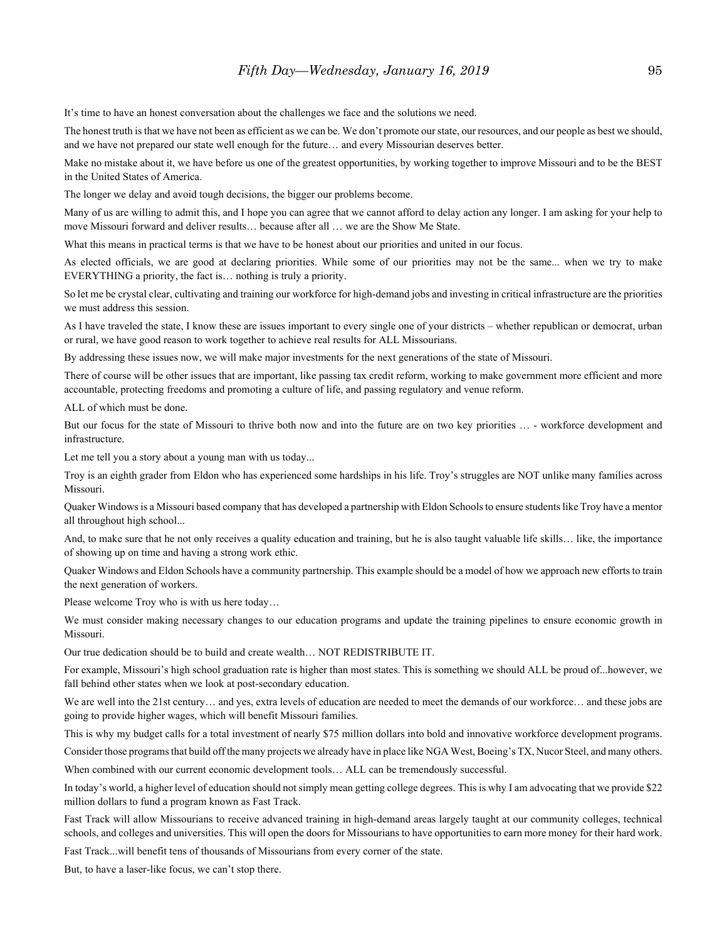It's time to have an honest conversation about the challenges we face and the solutions we need.

The honest truth is that we have not been as efficient as we can be. We don't promote our state, our resources, and our people as best we should, and we have not prepared our state well enough for the future… and every Missourian deserves better.

Make no mistake about it, we have before us one of the greatest opportunities, by working together to improve Missouri and to be the BEST in the United States of America.

The longer we delay and avoid tough decisions, the bigger our problems become.

Many of us are willing to admit this, and I hope you can agree that we cannot afford to delay action any longer. I am asking for your help to move Missouri forward and deliver results… because after all … we are the Show Me State.

What this means in practical terms is that we have to be honest about our priorities and united in our focus.

As elected officials, we are good at declaring priorities. While some of our priorities may not be the same... when we try to make EVERYTHING a priority, the fact is… nothing is truly a priority.

So let me be crystal clear, cultivating and training our workforce for high-demand jobs and investing in critical infrastructure are the priorities we must address this session.

As I have traveled the state, I know these are issues important to every single one of your districts – whether republican or democrat, urban or rural, we have good reason to work together to achieve real results for ALL Missourians.

By addressing these issues now, we will make major investments for the next generations of the state of Missouri.

There of course will be other issues that are important, like passing tax credit reform, working to make government more efficient and more accountable, protecting freedoms and promoting a culture of life, and passing regulatory and venue reform.

ALL of which must be done.

But our focus for the state of Missouri to thrive both now and into the future are on two key priorities … - workforce development and infrastructure.

Let me tell you a story about a young man with us today...

Troy is an eighth grader from Eldon who has experienced some hardships in his life. Troy's struggles are NOT unlike many families across Missouri.

Quaker Windows is a Missouri based company that has developed a partnership with Eldon Schools to ensure students like Troy have a mentor all throughout high school...

And, to make sure that he not only receives a quality education and training, but he is also taught valuable life skills… like, the importance of showing up on time and having a strong work ethic.

Quaker Windows and Eldon Schools have a community partnership. This example should be a model of how we approach new efforts to train the next generation of workers.

Please welcome Troy who is with us here today…

We must consider making necessary changes to our education programs and update the training pipelines to ensure economic growth in Missouri.

Our true dedication should be to build and create wealth… NOT REDISTRIBUTE IT.

For example, Missouri's high school graduation rate is higher than most states. This is something we should ALL be proud of...however, we fall behind other states when we look at post-secondary education.

We are well into the 21st century... and yes, extra levels of education are needed to meet the demands of our workforce... and these jobs are going to provide higher wages, which will benefit Missouri families.

This is why my budget calls for a total investment of nearly \$75 million dollars into bold and innovative workforce development programs.

Consider those programs that build off the many projects we already have in place like NGA West, Boeing's TX, Nucor Steel, and many others.

When combined with our current economic development tools… ALL can be tremendously successful.

In today's world, a higher level of education should not simply mean getting college degrees. This is why I am advocating that we provide \$22 million dollars to fund a program known as Fast Track.

Fast Track will allow Missourians to receive advanced training in high-demand areas largely taught at our community colleges, technical schools, and colleges and universities. This will open the doors for Missourians to have opportunities to earn more money for their hard work.

Fast Track...will benefit tens of thousands of Missourians from every corner of the state.

But, to have a laser-like focus, we can't stop there.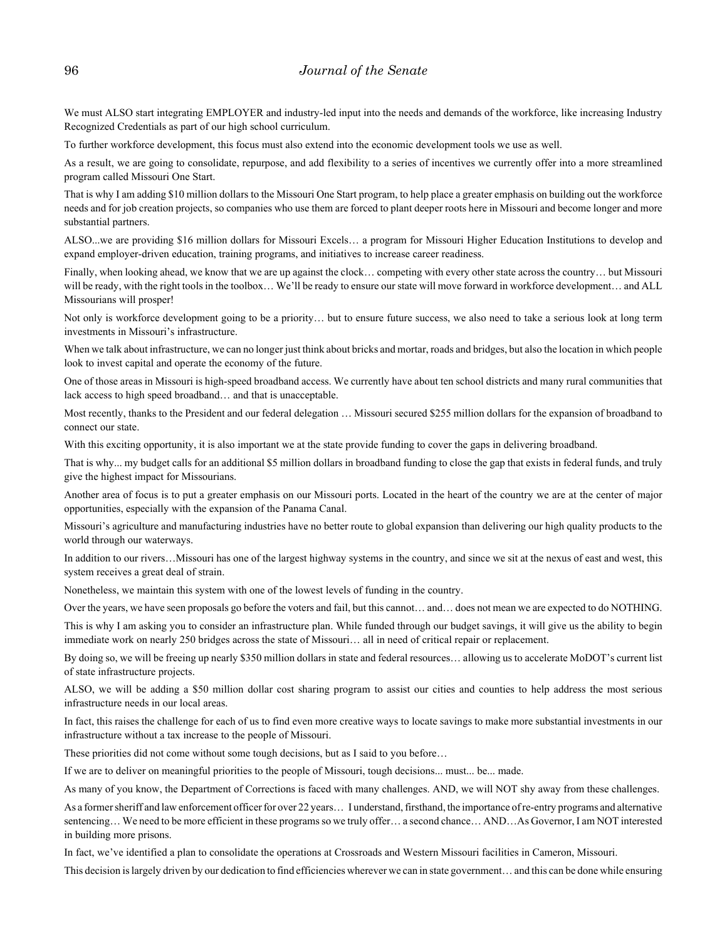We must ALSO start integrating EMPLOYER and industry-led input into the needs and demands of the workforce, like increasing Industry Recognized Credentials as part of our high school curriculum.

To further workforce development, this focus must also extend into the economic development tools we use as well.

As a result, we are going to consolidate, repurpose, and add flexibility to a series of incentives we currently offer into a more streamlined program called Missouri One Start.

That is why I am adding \$10 million dollars to the Missouri One Start program, to help place a greater emphasis on building out the workforce needs and for job creation projects, so companies who use them are forced to plant deeper roots here in Missouri and become longer and more substantial partners.

ALSO...we are providing \$16 million dollars for Missouri Excels… a program for Missouri Higher Education Institutions to develop and expand employer-driven education, training programs, and initiatives to increase career readiness.

Finally, when looking ahead, we know that we are up against the clock… competing with every other state across the country… but Missouri will be ready, with the right tools in the toolbox... We'll be ready to ensure our state will move forward in workforce development... and ALL Missourians will prosper!

Not only is workforce development going to be a priority… but to ensure future success, we also need to take a serious look at long term investments in Missouri's infrastructure.

When we talk about infrastructure, we can no longer just think about bricks and mortar, roads and bridges, but also the location in which people look to invest capital and operate the economy of the future.

One of those areas in Missouri is high-speed broadband access. We currently have about ten school districts and many rural communities that lack access to high speed broadband… and that is unacceptable.

Most recently, thanks to the President and our federal delegation … Missouri secured \$255 million dollars for the expansion of broadband to connect our state.

With this exciting opportunity, it is also important we at the state provide funding to cover the gaps in delivering broadband.

That is why... my budget calls for an additional \$5 million dollars in broadband funding to close the gap that exists in federal funds, and truly give the highest impact for Missourians.

Another area of focus is to put a greater emphasis on our Missouri ports. Located in the heart of the country we are at the center of major opportunities, especially with the expansion of the Panama Canal.

Missouri's agriculture and manufacturing industries have no better route to global expansion than delivering our high quality products to the world through our waterways.

In addition to our rivers…Missouri has one of the largest highway systems in the country, and since we sit at the nexus of east and west, this system receives a great deal of strain.

Nonetheless, we maintain this system with one of the lowest levels of funding in the country.

Over the years, we have seen proposals go before the voters and fail, but this cannot… and… does not mean we are expected to do NOTHING.

This is why I am asking you to consider an infrastructure plan. While funded through our budget savings, it will give us the ability to begin immediate work on nearly 250 bridges across the state of Missouri… all in need of critical repair or replacement.

By doing so, we will be freeing up nearly \$350 million dollars in state and federal resources… allowing us to accelerate MoDOT's current list of state infrastructure projects.

ALSO, we will be adding a \$50 million dollar cost sharing program to assist our cities and counties to help address the most serious infrastructure needs in our local areas.

In fact, this raises the challenge for each of us to find even more creative ways to locate savings to make more substantial investments in our infrastructure without a tax increase to the people of Missouri.

These priorities did not come without some tough decisions, but as I said to you before…

If we are to deliver on meaningful priorities to the people of Missouri, tough decisions... must... be... made.

As many of you know, the Department of Corrections is faced with many challenges. AND, we will NOT shy away from these challenges.

As a former sheriff and law enforcement officer for over 22 years… I understand, firsthand, the importance of re-entry programs and alternative sentencing... We need to be more efficient in these programs so we truly offer... a second chance... AND...As Governor, I am NOT interested in building more prisons.

In fact, we've identified a plan to consolidate the operations at Crossroads and Western Missouri facilities in Cameron, Missouri.

This decision is largely driven by our dedication to find efficiencies wherever we can in state government… and this can be done while ensuring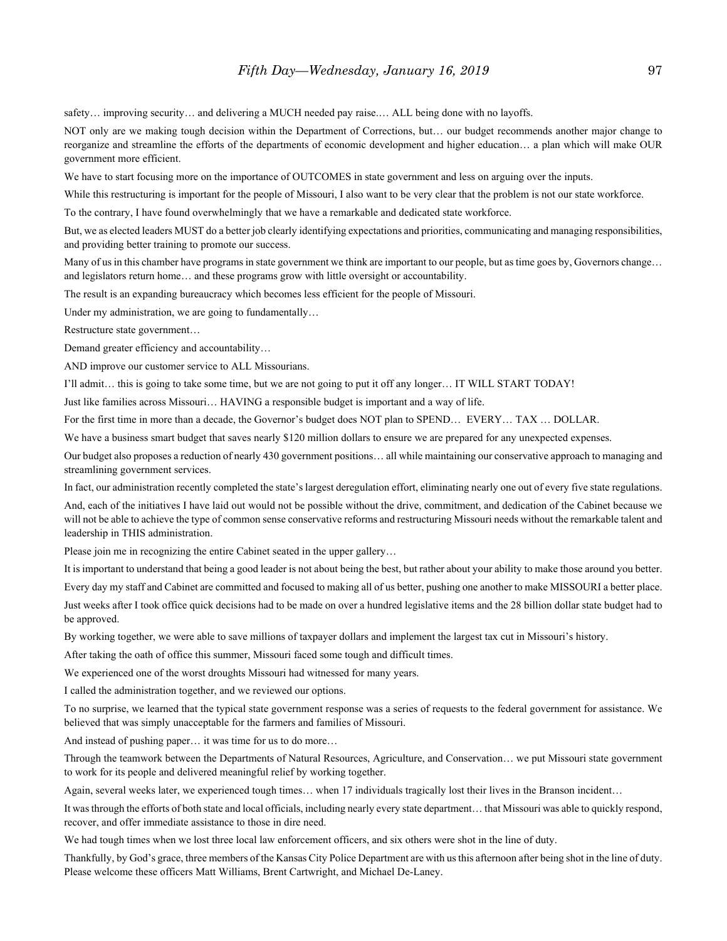safety... improving security... and delivering a MUCH needed pay raise.... ALL being done with no layoffs.

NOT only are we making tough decision within the Department of Corrections, but… our budget recommends another major change to reorganize and streamline the efforts of the departments of economic development and higher education… a plan which will make OUR government more efficient.

We have to start focusing more on the importance of OUTCOMES in state government and less on arguing over the inputs.

While this restructuring is important for the people of Missouri, I also want to be very clear that the problem is not our state workforce.

To the contrary, I have found overwhelmingly that we have a remarkable and dedicated state workforce.

But, we as elected leaders MUST do a better job clearly identifying expectations and priorities, communicating and managing responsibilities, and providing better training to promote our success.

Many of us in this chamber have programs in state government we think are important to our people, but as time goes by, Governors change... and legislators return home… and these programs grow with little oversight or accountability.

The result is an expanding bureaucracy which becomes less efficient for the people of Missouri.

Under my administration, we are going to fundamentally…

Restructure state government…

Demand greater efficiency and accountability…

AND improve our customer service to ALL Missourians.

I'll admit… this is going to take some time, but we are not going to put it off any longer… IT WILL START TODAY!

Just like families across Missouri… HAVING a responsible budget is important and a way of life.

For the first time in more than a decade, the Governor's budget does NOT plan to SPEND… EVERY… TAX … DOLLAR.

We have a business smart budget that saves nearly \$120 million dollars to ensure we are prepared for any unexpected expenses.

Our budget also proposes a reduction of nearly 430 government positions… all while maintaining our conservative approach to managing and streamlining government services.

In fact, our administration recently completed the state's largest deregulation effort, eliminating nearly one out of every five state regulations. And, each of the initiatives I have laid out would not be possible without the drive, commitment, and dedication of the Cabinet because we will not be able to achieve the type of common sense conservative reforms and restructuring Missouri needs without the remarkable talent and leadership in THIS administration.

Please join me in recognizing the entire Cabinet seated in the upper gallery…

It is important to understand that being a good leader is not about being the best, but rather about your ability to make those around you better.

Every day my staff and Cabinet are committed and focused to making all of us better, pushing one another to make MISSOURI a better place. Just weeks after I took office quick decisions had to be made on over a hundred legislative items and the 28 billion dollar state budget had to

be approved.

By working together, we were able to save millions of taxpayer dollars and implement the largest tax cut in Missouri's history.

After taking the oath of office this summer, Missouri faced some tough and difficult times.

We experienced one of the worst droughts Missouri had witnessed for many years.

I called the administration together, and we reviewed our options.

To no surprise, we learned that the typical state government response was a series of requests to the federal government for assistance. We believed that was simply unacceptable for the farmers and families of Missouri.

And instead of pushing paper… it was time for us to do more…

Through the teamwork between the Departments of Natural Resources, Agriculture, and Conservation… we put Missouri state government to work for its people and delivered meaningful relief by working together.

Again, several weeks later, we experienced tough times… when 17 individuals tragically lost their lives in the Branson incident…

It was through the efforts of both state and local officials, including nearly every state department… that Missouri was able to quickly respond, recover, and offer immediate assistance to those in dire need.

We had tough times when we lost three local law enforcement officers, and six others were shot in the line of duty.

Thankfully, by God's grace, three members of the Kansas City Police Department are with us this afternoon after being shot in the line of duty. Please welcome these officers Matt Williams, Brent Cartwright, and Michael De-Laney.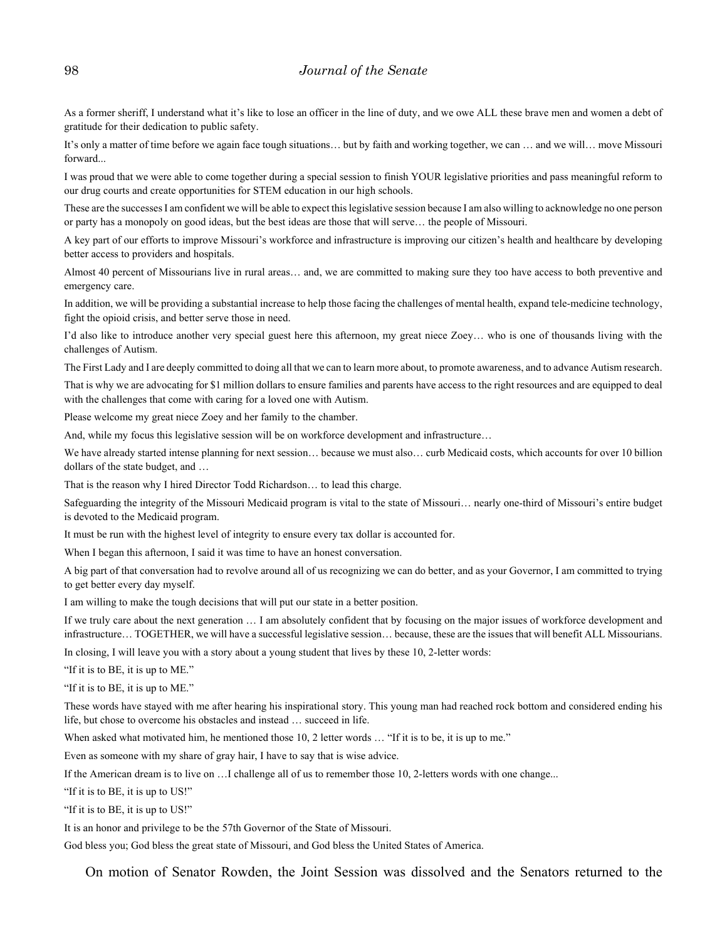As a former sheriff, I understand what it's like to lose an officer in the line of duty, and we owe ALL these brave men and women a debt of gratitude for their dedication to public safety.

It's only a matter of time before we again face tough situations… but by faith and working together, we can … and we will… move Missouri forward...

I was proud that we were able to come together during a special session to finish YOUR legislative priorities and pass meaningful reform to our drug courts and create opportunities for STEM education in our high schools.

These are the successes I am confident we will be able to expect this legislative session because I am also willing to acknowledge no one person or party has a monopoly on good ideas, but the best ideas are those that will serve… the people of Missouri.

A key part of our efforts to improve Missouri's workforce and infrastructure is improving our citizen's health and healthcare by developing better access to providers and hospitals.

Almost 40 percent of Missourians live in rural areas… and, we are committed to making sure they too have access to both preventive and emergency care.

In addition, we will be providing a substantial increase to help those facing the challenges of mental health, expand tele-medicine technology, fight the opioid crisis, and better serve those in need.

I'd also like to introduce another very special guest here this afternoon, my great niece Zoey… who is one of thousands living with the challenges of Autism.

The First Lady and I are deeply committed to doing all that we can to learn more about, to promote awareness, and to advance Autism research.

That is why we are advocating for \$1 million dollars to ensure families and parents have access to the right resources and are equipped to deal with the challenges that come with caring for a loved one with Autism.

Please welcome my great niece Zoey and her family to the chamber.

And, while my focus this legislative session will be on workforce development and infrastructure…

We have already started intense planning for next session… because we must also… curb Medicaid costs, which accounts for over 10 billion dollars of the state budget, and …

That is the reason why I hired Director Todd Richardson… to lead this charge.

Safeguarding the integrity of the Missouri Medicaid program is vital to the state of Missouri… nearly one-third of Missouri's entire budget is devoted to the Medicaid program.

It must be run with the highest level of integrity to ensure every tax dollar is accounted for.

When I began this afternoon, I said it was time to have an honest conversation.

A big part of that conversation had to revolve around all of us recognizing we can do better, and as your Governor, I am committed to trying to get better every day myself.

I am willing to make the tough decisions that will put our state in a better position.

If we truly care about the next generation … I am absolutely confident that by focusing on the major issues of workforce development and infrastructure… TOGETHER, we will have a successful legislative session… because, these are the issues that will benefit ALL Missourians.

In closing, I will leave you with a story about a young student that lives by these 10, 2-letter words:

"If it is to BE, it is up to ME."

"If it is to BE, it is up to ME."

These words have stayed with me after hearing his inspirational story. This young man had reached rock bottom and considered ending his life, but chose to overcome his obstacles and instead … succeed in life.

When asked what motivated him, he mentioned those 10, 2 letter words ... "If it is to be, it is up to me."

Even as someone with my share of gray hair, I have to say that is wise advice.

If the American dream is to live on …I challenge all of us to remember those 10, 2-letters words with one change...

"If it is to BE, it is up to US!"

"If it is to BE, it is up to US!"

It is an honor and privilege to be the 57th Governor of the State of Missouri.

God bless you; God bless the great state of Missouri, and God bless the United States of America.

On motion of Senator Rowden, the Joint Session was dissolved and the Senators returned to the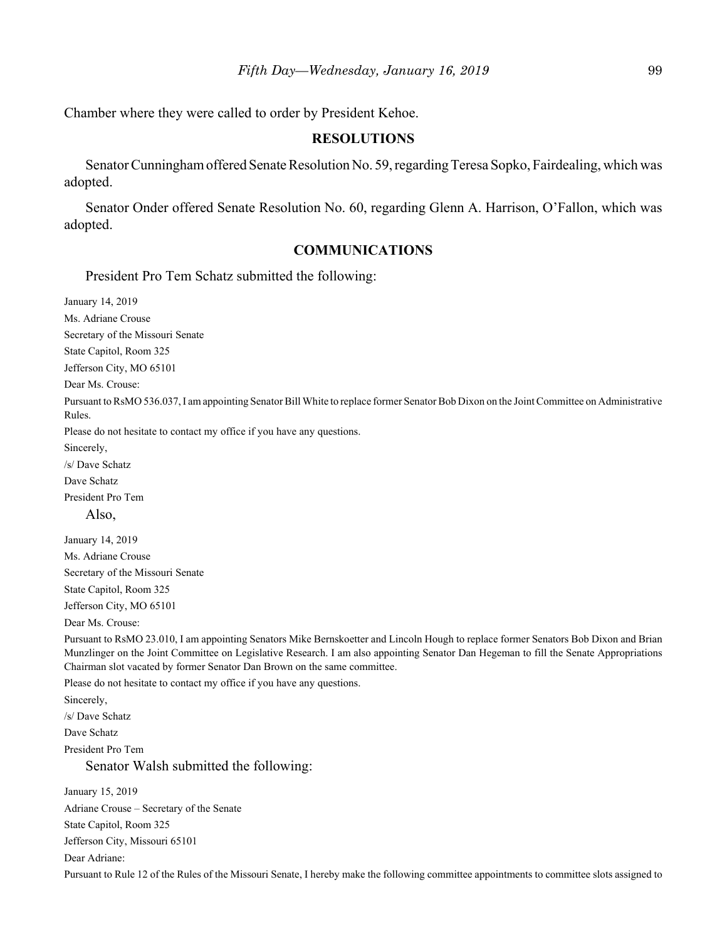Chamber where they were called to order by President Kehoe.

#### **RESOLUTIONS**

Senator Cunningham offered Senate Resolution No. 59, regarding Teresa Sopko, Fairdealing, which was adopted.

Senator Onder offered Senate Resolution No. 60, regarding Glenn A. Harrison, O'Fallon, which was adopted.

# **COMMUNICATIONS**

President Pro Tem Schatz submitted the following:

January 14, 2019 Ms. Adriane Crouse Secretary of the Missouri Senate State Capitol, Room 325 Jefferson City, MO 65101 Dear Ms. Crouse: Pursuant to RsMO 536.037, I am appointing Senator Bill White to replace former Senator Bob Dixon on the Joint Committee on Administrative Rules. Please do not hesitate to contact my office if you have any questions. Sincerely, /s/ Dave Schatz Dave Schatz President Pro Tem Also, January 14, 2019 Ms. Adriane Crouse Secretary of the Missouri Senate State Capitol, Room 325 Jefferson City, MO 65101 Dear Ms. Crouse: Pursuant to RsMO 23.010, I am appointing Senators Mike Bernskoetter and Lincoln Hough to replace former Senators Bob Dixon and Brian Munzlinger on the Joint Committee on Legislative Research. I am also appointing Senator Dan Hegeman to fill the Senate Appropriations Chairman slot vacated by former Senator Dan Brown on the same committee. Please do not hesitate to contact my office if you have any questions. Sincerely, /s/ Dave Schatz Dave Schatz President Pro Tem Senator Walsh submitted the following: January 15, 2019 Adriane Crouse – Secretary of the Senate State Capitol, Room 325 Jefferson City, Missouri 65101

Dear Adriane:

Pursuant to Rule 12 of the Rules of the Missouri Senate, I hereby make the following committee appointments to committee slots assigned to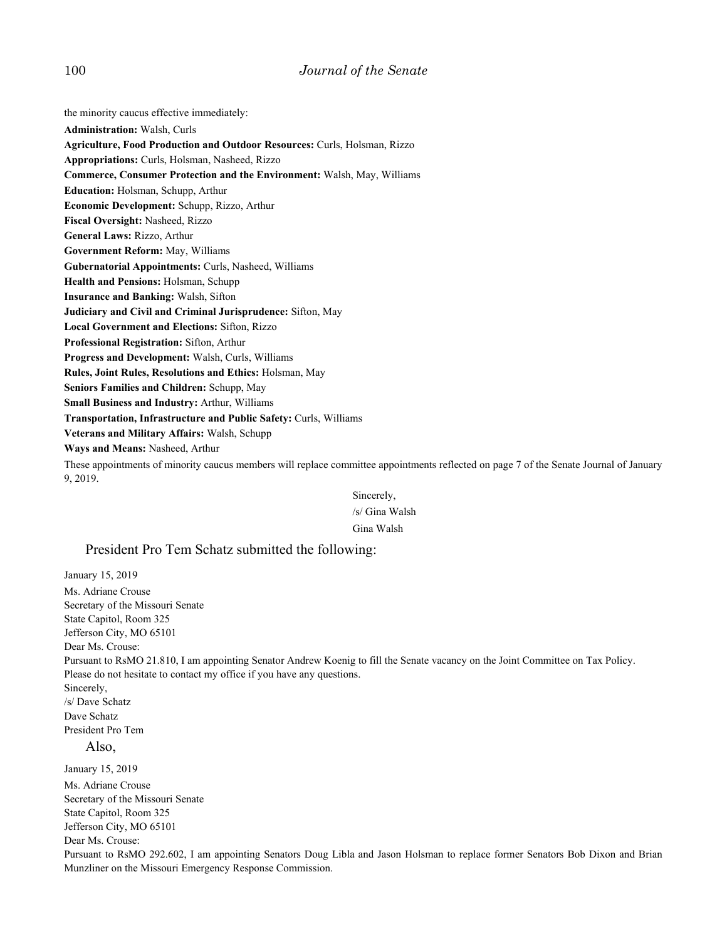#### 100 *Journal of the Senate*

the minority caucus effective immediately:

**Administration:** Walsh, Curls

**Agriculture, Food Production and Outdoor Resources:** Curls, Holsman, Rizzo

**Appropriations:** Curls, Holsman, Nasheed, Rizzo

- **Commerce, Consumer Protection and the Environment:** Walsh, May, Williams
- **Education:** Holsman, Schupp, Arthur
- **Economic Development:** Schupp, Rizzo, Arthur
- **Fiscal Oversight:** Nasheed, Rizzo
- **General Laws:** Rizzo, Arthur

**Government Reform:** May, Williams

- **Gubernatorial Appointments:** Curls, Nasheed, Williams
- **Health and Pensions:** Holsman, Schupp
- **Insurance and Banking:** Walsh, Sifton
- **Judiciary and Civil and Criminal Jurisprudence:** Sifton, May
- **Local Government and Elections:** Sifton, Rizzo
- **Professional Registration:** Sifton, Arthur
- **Progress and Development:** Walsh, Curls, Williams
- **Rules, Joint Rules, Resolutions and Ethics:** Holsman, May
- **Seniors Families and Children:** Schupp, May
- **Small Business and Industry:** Arthur, Williams
- **Transportation, Infrastructure and Public Safety:** Curls, Williams
- **Veterans and Military Affairs:** Walsh, Schupp
- **Ways and Means:** Nasheed, Arthur

These appointments of minority caucus members will replace committee appointments reflected on page 7 of the Senate Journal of January 9, 2019.

> Sincerely, /s/ Gina Walsh Gina Walsh

#### President Pro Tem Schatz submitted the following:

January 15, 2019 Ms. Adriane Crouse Secretary of the Missouri Senate State Capitol, Room 325 Jefferson City, MO 65101 Dear Ms. Crouse: Pursuant to RsMO 21.810, I am appointing Senator Andrew Koenig to fill the Senate vacancy on the Joint Committee on Tax Policy. Please do not hesitate to contact my office if you have any questions. Sincerely, /s/ Dave Schatz Dave Schatz President Pro Tem Also, January 15, 2019 Ms. Adriane Crouse Secretary of the Missouri Senate State Capitol, Room 325 Jefferson City, MO 65101 Dear Ms. Crouse: Pursuant to RsMO 292.602, I am appointing Senators Doug Libla and Jason Holsman to replace former Senators Bob Dixon and Brian Munzliner on the Missouri Emergency Response Commission.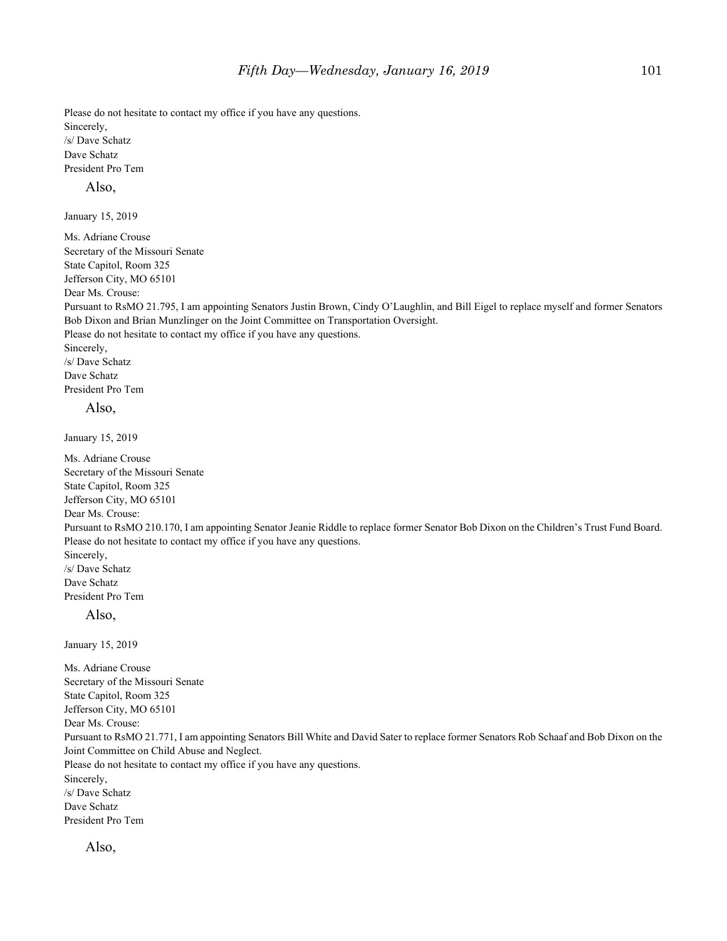Please do not hesitate to contact my office if you have any questions. Sincerely, /s/ Dave Schatz Dave Schatz President Pro Tem

#### Also,

January 15, 2019

Ms. Adriane Crouse Secretary of the Missouri Senate State Capitol, Room 325 Jefferson City, MO 65101 Dear Ms. Crouse: Pursuant to RsMO 21.795, I am appointing Senators Justin Brown, Cindy O'Laughlin, and Bill Eigel to replace myself and former Senators Bob Dixon and Brian Munzlinger on the Joint Committee on Transportation Oversight. Please do not hesitate to contact my office if you have any questions. Sincerely, /s/ Dave Schatz Dave Schatz President Pro Tem Also,

January 15, 2019

Ms. Adriane Crouse Secretary of the Missouri Senate State Capitol, Room 325 Jefferson City, MO 65101 Dear Ms. Crouse: Pursuant to RsMO 210.170, I am appointing Senator Jeanie Riddle to replace former Senator Bob Dixon on the Children's Trust Fund Board. Please do not hesitate to contact my office if you have any questions. Sincerely, /s/ Dave Schatz Dave Schatz President Pro Tem Also, January 15, 2019 Ms. Adriane Crouse Secretary of the Missouri Senate State Capitol, Room 325 Jefferson City, MO 65101 Dear Ms. Crouse: Pursuant to RsMO 21.771, I am appointing Senators Bill White and David Sater to replace former Senators Rob Schaaf and Bob Dixon on the Joint Committee on Child Abuse and Neglect. Please do not hesitate to contact my office if you have any questions. Sincerely, /s/ Dave Schatz Dave Schatz President Pro Tem

Also,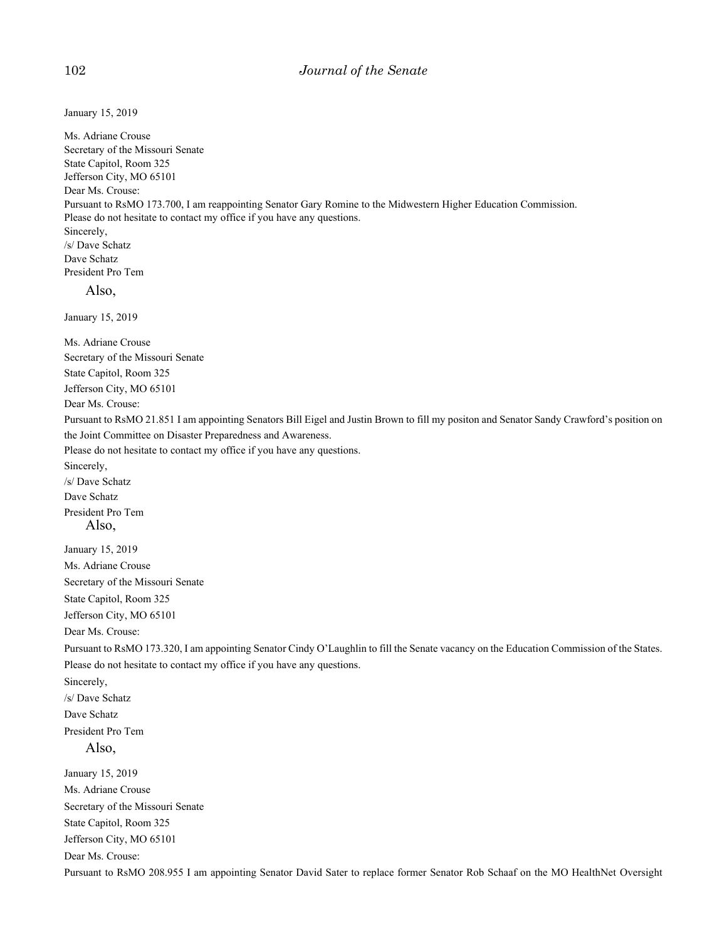January 15, 2019 Ms. Adriane Crouse Secretary of the Missouri Senate State Capitol, Room 325

Jefferson City, MO 65101 Dear Ms. Crouse: Pursuant to RsMO 173.700, I am reappointing Senator Gary Romine to the Midwestern Higher Education Commission. Please do not hesitate to contact my office if you have any questions. Sincerely, /s/ Dave Schatz Dave Schatz President Pro Tem Also, January 15, 2019 Ms. Adriane Crouse Secretary of the Missouri Senate State Capitol, Room 325 Jefferson City, MO 65101 Dear Ms. Crouse: Pursuant to RsMO 21.851 I am appointing Senators Bill Eigel and Justin Brown to fill my positon and Senator Sandy Crawford's position on the Joint Committee on Disaster Preparedness and Awareness. Please do not hesitate to contact my office if you have any questions. Sincerely, /s/ Dave Schatz Dave Schatz President Pro Tem Also, January 15, 2019 Ms. Adriane Crouse Secretary of the Missouri Senate State Capitol, Room 325 Jefferson City, MO 65101 Dear Ms. Crouse: Pursuant to RsMO 173.320, I am appointing Senator Cindy O'Laughlin to fill the Senate vacancy on the Education Commission of the States. Please do not hesitate to contact my office if you have any questions. Sincerely, /s/ Dave Schatz Dave Schatz President Pro Tem Also, January 15, 2019 Ms. Adriane Crouse Secretary of the Missouri Senate State Capitol, Room 325

Jefferson City, MO 65101

Dear Ms. Crouse:

Pursuant to RsMO 208.955 I am appointing Senator David Sater to replace former Senator Rob Schaaf on the MO HealthNet Oversight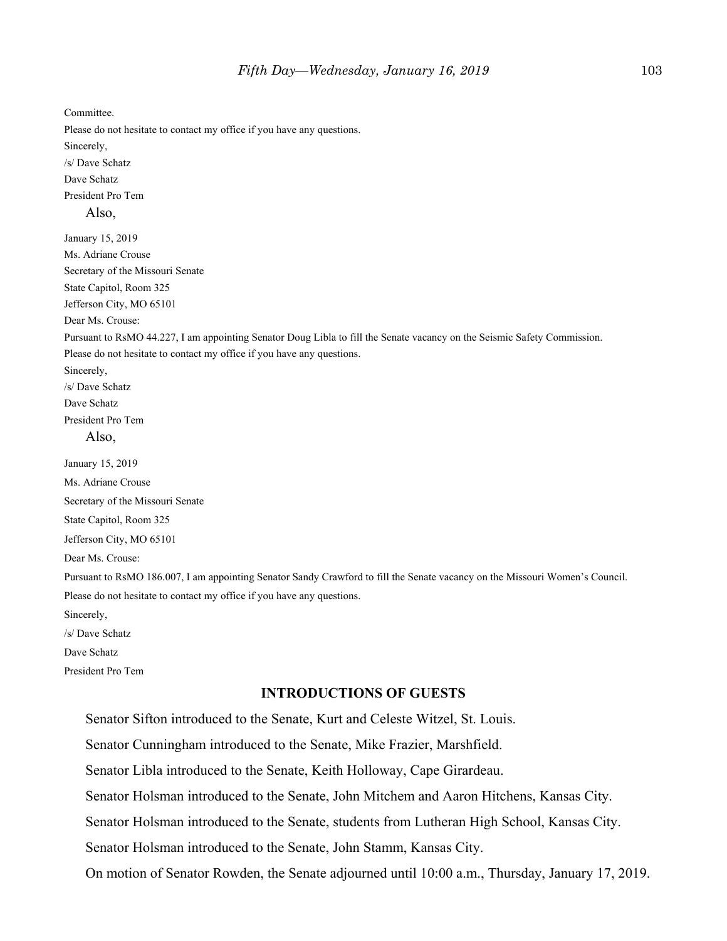Committee. Please do not hesitate to contact my office if you have any questions. Sincerely, /s/ Dave Schatz Dave Schatz President Pro Tem Also, January 15, 2019 Ms. Adriane Crouse Secretary of the Missouri Senate State Capitol, Room 325 Jefferson City, MO 65101 Dear Ms. Crouse: Pursuant to RsMO 44.227, I am appointing Senator Doug Libla to fill the Senate vacancy on the Seismic Safety Commission. Please do not hesitate to contact my office if you have any questions. Sincerely, /s/ Dave Schatz Dave Schatz President Pro Tem Also, January 15, 2019 Ms. Adriane Crouse Secretary of the Missouri Senate State Capitol, Room 325 Jefferson City, MO 65101 Dear Ms. Crouse: Pursuant to RsMO 186.007, I am appointing Senator Sandy Crawford to fill the Senate vacancy on the Missouri Women's Council. Please do not hesitate to contact my office if you have any questions. Sincerely, /s/ Dave Schatz Dave Schatz President Pro Tem **INTRODUCTIONS OF GUESTS**

Senator Sifton introduced to the Senate, Kurt and Celeste Witzel, St. Louis.

Senator Cunningham introduced to the Senate, Mike Frazier, Marshfield.

Senator Libla introduced to the Senate, Keith Holloway, Cape Girardeau.

Senator Holsman introduced to the Senate, John Mitchem and Aaron Hitchens, Kansas City.

Senator Holsman introduced to the Senate, students from Lutheran High School, Kansas City.

Senator Holsman introduced to the Senate, John Stamm, Kansas City.

On motion of Senator Rowden, the Senate adjourned until 10:00 a.m., Thursday, January 17, 2019.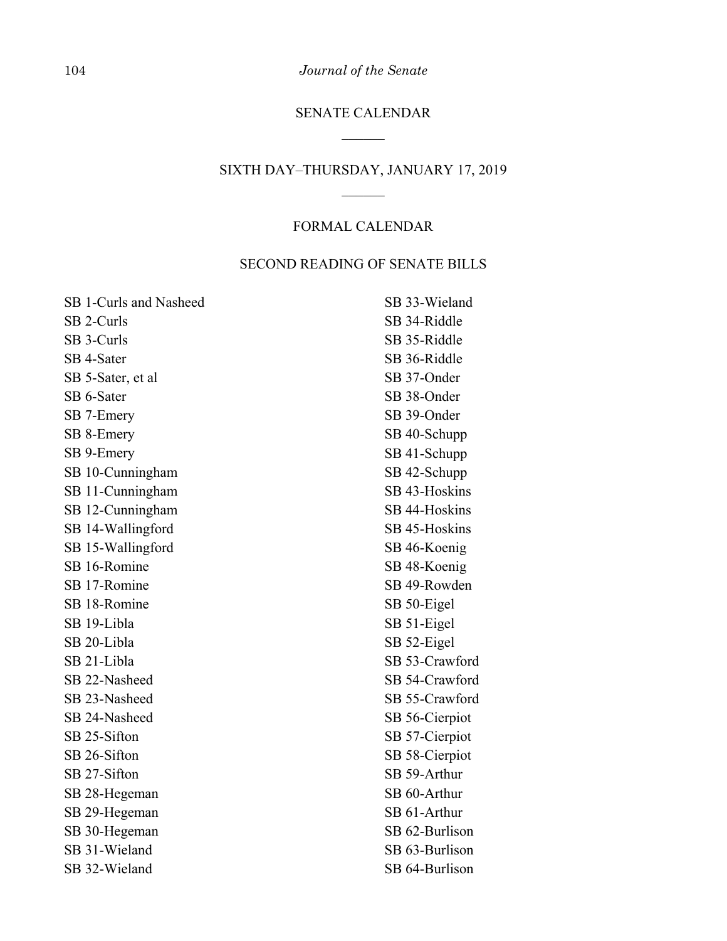104 *Journal of the Senate*

# SENATE CALENDAR  $\overline{\phantom{a}}$

# SIXTH DAY–THURSDAY, JANUARY 17, 2019  $\overline{\phantom{a}}$

# FORMAL CALENDAR

# SECOND READING OF SENATE BILLS

| SB 1-Curls and Nasheed | SB 33-Wieland  |
|------------------------|----------------|
| SB 2-Curls             | SB 34-Riddle   |
| SB 3-Curls             | SB 35-Riddle   |
| SB 4-Sater             | SB 36-Riddle   |
| SB 5-Sater, et al      | SB 37-Onder    |
| SB 6-Sater             | SB 38-Onder    |
| SB 7-Emery             | SB 39-Onder    |
| SB 8-Emery             | SB 40-Schupp   |
| SB 9-Emery             | SB 41-Schupp   |
| SB 10-Cunningham       | SB 42-Schupp   |
| SB 11-Cunningham       | SB 43-Hoskins  |
| SB 12-Cunningham       | SB 44-Hoskins  |
| SB 14-Wallingford      | SB 45-Hoskins  |
| SB 15-Wallingford      | SB 46-Koenig   |
| SB 16-Romine           | SB 48-Koenig   |
| SB 17-Romine           | SB 49-Rowden   |
| SB 18-Romine           | SB 50-Eigel    |
| SB 19-Libla            | SB 51-Eigel    |
| SB 20-Libla            | SB 52-Eigel    |
| SB 21-Libla            | SB 53-Crawford |
| SB 22-Nasheed          | SB 54-Crawford |
| SB 23-Nasheed          | SB 55-Crawford |
| SB 24-Nasheed          | SB 56-Cierpiot |
| SB 25-Sifton           | SB 57-Cierpiot |
| SB 26-Sifton           | SB 58-Cierpiot |
| SB 27-Sifton           | SB 59-Arthur   |
| SB 28-Hegeman          | SB 60-Arthur   |
| SB 29-Hegeman          | SB 61-Arthur   |
| SB 30-Hegeman          | SB 62-Burlison |
| SB 31-Wieland          | SB 63-Burlison |
| SB 32-Wieland          | SB 64-Burlison |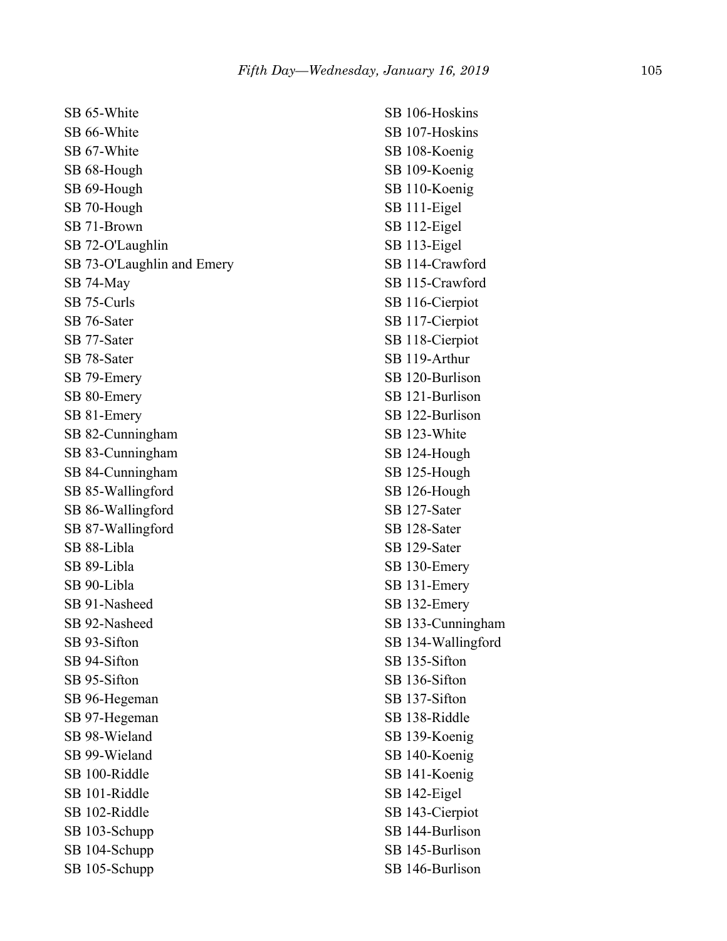SB 65-White SB 66-White SB 67-White SB 68-Hough SB 69-Hough SB 70-Hough SB 71-Brown SB 72-O'Laughlin SB 73-O'Laughlin and Emery SB 74-May SB 75-Curls SB 76-Sater SB 77-Sater SB 78-Sater SB 79-Emery SB 80-Emery SB 81-Emery SB 82-Cunningham SB 83-Cunningham SB 84-Cunningham SB 85-Wallingford SB 86-Wallingford SB 87-Wallingford SB 88-Libla SB 89-Libla SB 90-Libla SB 91-Nasheed SB 92-Nasheed SB 93-Sifton SB 94-Sifton SB 95-Sifton SB 96-Hegeman SB 97-Hegeman SB 98-Wieland SB 99-Wieland SB 100-Riddle SB 101-Riddle SB 102-Riddle SB 103-Schupp SB 104-Schupp SB 105-Schupp

SB 106-Hoskins SB 107-Hoskins SB 108-Koenig SB 109-Koenig SB 110-Koenig SB 111-Eigel SB 112-Eigel SB 113-Eigel SB 114-Crawford SB 115-Crawford SB 116-Cierpiot SB 117-Cierpiot SB 118-Cierpiot SB 119-Arthur SB 120-Burlison SB 121-Burlison SB 122-Burlison SB 123-White SB 124-Hough SB 125-Hough SB 126-Hough SB 127-Sater SB 128-Sater SB 129-Sater SB 130-Emery SB 131-Emery SB 132-Emery SB 133-Cunningham SB 134-Wallingford SB 135-Sifton SB 136-Sifton SB 137-Sifton SB 138-Riddle SB 139-Koenig SB 140-Koenig SB 141-Koenig SB 142-Eigel SB 143-Cierpiot SB 144-Burlison SB 145-Burlison SB 146-Burlison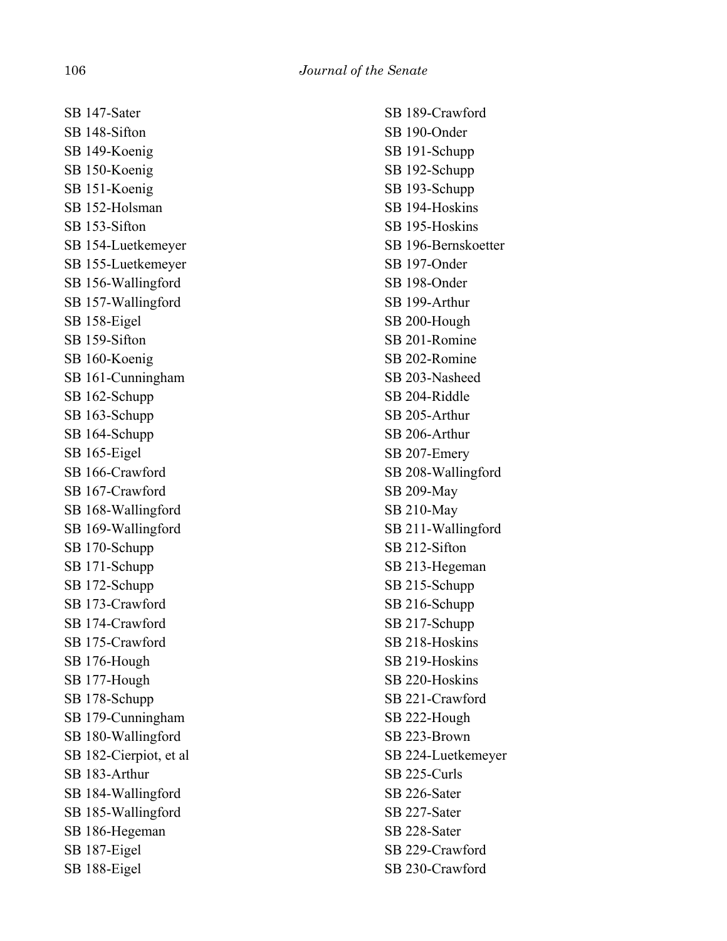SB 147-Sater SB 148-Sifton SB 149-Koenig SB 150-Koenig SB 151-Koenig SB 152-Holsman SB 153-Sifton SB 154-Luetkemeyer SB 155-Luetkemeyer SB 156-Wallingford SB 157-Wallingford SB 158-Eigel SB 159-Sifton SB 160-Koenig SB 161-Cunningham SB 162-Schupp SB 163-Schupp SB 164-Schupp SB 165-Eigel SB 166-Crawford SB 167-Crawford SB 168-Wallingford SB 169-Wallingford SB 170-Schupp SB 171-Schupp SB 172-Schupp SB 173-Crawford SB 174-Crawford SB 175-Crawford SB 176-Hough SB 177-Hough SB 178-Schupp SB 179-Cunningham SB 180-Wallingford SB 182-Cierpiot, et al SB 183-Arthur SB 184-Wallingford SB 185-Wallingford SB 186-Hegeman SB 187-Eigel SB 188-Eigel

SB 189-Crawford SB 190-Onder SB 191-Schupp SB 192-Schupp SB 193-Schupp SB 194-Hoskins SB 195-Hoskins SB 196-Bernskoetter SB 197-Onder SB 198-Onder SB 199-Arthur SB 200-Hough SB 201-Romine SB 202-Romine SB 203-Nasheed SB 204-Riddle SB 205-Arthur SB 206-Arthur SB 207-Emery SB 208-Wallingford SB 209-May SB 210-May SB 211-Wallingford SB 212-Sifton SB 213-Hegeman SB 215-Schupp SB 216-Schupp SB 217-Schupp SB 218-Hoskins SB 219-Hoskins SB 220-Hoskins SB 221-Crawford SB 222-Hough SB 223-Brown SB 224-Luetkemeyer SB 225-Curls SB 226-Sater SB 227-Sater SB 228-Sater SB 229-Crawford SB 230-Crawford